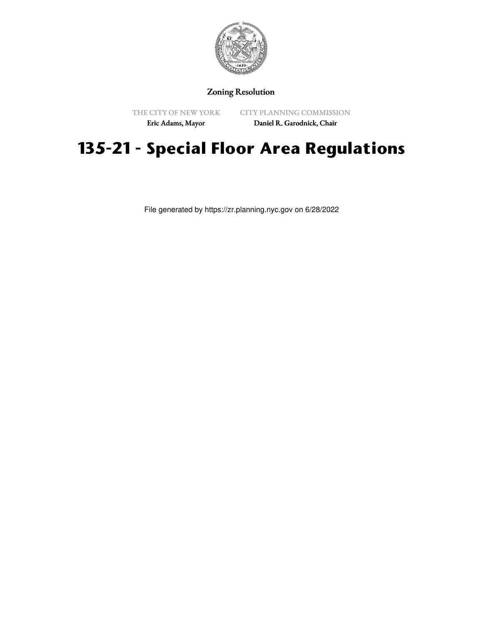

Zoning Resolution

THE CITY OF NEW YORK

CITY PLANNING COMMISSION

Eric Adams, Mayor

Daniel R. Garodnick, Chair

## **135-21 - Special Floor Area Regulations**

File generated by https://zr.planning.nyc.gov on 6/28/2022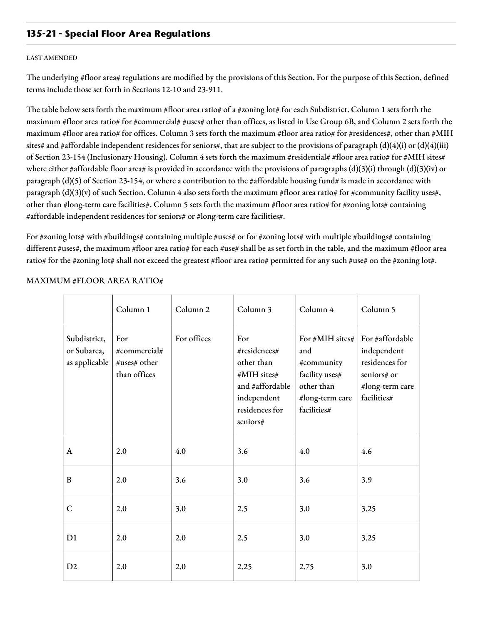## **135-21 - Special Floor Area Regulations**

## LAST AMENDED

The underlying #floor area# regulations are modified by the provisions of this Section. For the purpose of this Section, defined terms include those set forth in Sections 12-10 and 23-911.

The table below sets forth the maximum #floor area ratio# of a #zoning lot# for each Subdistrict. Column 1 sets forth the maximum #floor area ratio# for #commercial# #uses# other than offices, as listed in Use Group 6B, and Column 2 sets forth the maximum #floor area ratio# for offices. Column 3 sets forth the maximum #floor area ratio# for #residences#, other than #MIH sites# and #affordable independent residences for seniors#, that are subject to the provisions of paragraph (d)(4)(i) or (d)(4)(iii) of Section 23-154 (Inclusionary Housing). Column 4 sets forth the maximum #residential# #floor area ratio# for #MIH sites# where either #affordable floor area# is provided in accordance with the provisions of paragraphs (d)(3)(i) through (d)(3)(iv) or paragraph  $(d)(5)$  of Section 23-154, or where a contribution to the #affordable housing fund# is made in accordance with paragraph (d)(3)(v) of such Section. Column 4 also sets forth the maximum #floor area ratio# for #community facility uses#, other than #long-term care facilities#. Column 5 sets forth the maximum #floor area ratio# for #zoning lots# containing #affordable independent residences for seniors# or #long-term care facilities#.

For #zoning lots# with #buildings# containing multiple #uses# or for #zoning lots# with multiple #buildings# containing different #uses#, the maximum #floor area ratio# for each #use# shall be as set forth in the table, and the maximum #floor area ratio# for the #zoning lot# shall not exceed the greatest #floor area ratio# permitted for any such #use# on the #zoning lot#.

|                                              | Column 1                                            | Column 2    | Column 3                                                                                                         | Column 4                                                                                               | Column 5                                                                                          |
|----------------------------------------------|-----------------------------------------------------|-------------|------------------------------------------------------------------------------------------------------------------|--------------------------------------------------------------------------------------------------------|---------------------------------------------------------------------------------------------------|
| Subdistrict,<br>or Subarea,<br>as applicable | For<br>#commercial#<br>#uses# other<br>than offices | For offices | For<br>#residences#<br>other than<br>#MIH sites#<br>and #affordable<br>independent<br>residences for<br>seniors# | For #MIH sites#<br>and<br>#community<br>facility uses#<br>other than<br>#long-term care<br>facilities# | For #affordable<br>independent<br>residences for<br>seniors# or<br>#long-term care<br>facilities# |
| A                                            | 2.0                                                 | 4.0         | 3.6                                                                                                              | 4.0                                                                                                    | 4.6                                                                                               |
| $\bf{B}$                                     | 2.0                                                 | 3.6         | 3.0                                                                                                              | 3.6                                                                                                    | 3.9                                                                                               |
| $\mathsf{C}$                                 | 2.0                                                 | 3.0         | 2.5                                                                                                              | 3.0                                                                                                    | 3.25                                                                                              |
| D1                                           | 2.0                                                 | 2.0         | 2.5                                                                                                              | 3.0                                                                                                    | 3.25                                                                                              |
| D2                                           | 2.0                                                 | 2.0         | 2.25                                                                                                             | 2.75                                                                                                   | 3.0                                                                                               |

## MAXIMUM #FLOOR AREA RATIO#